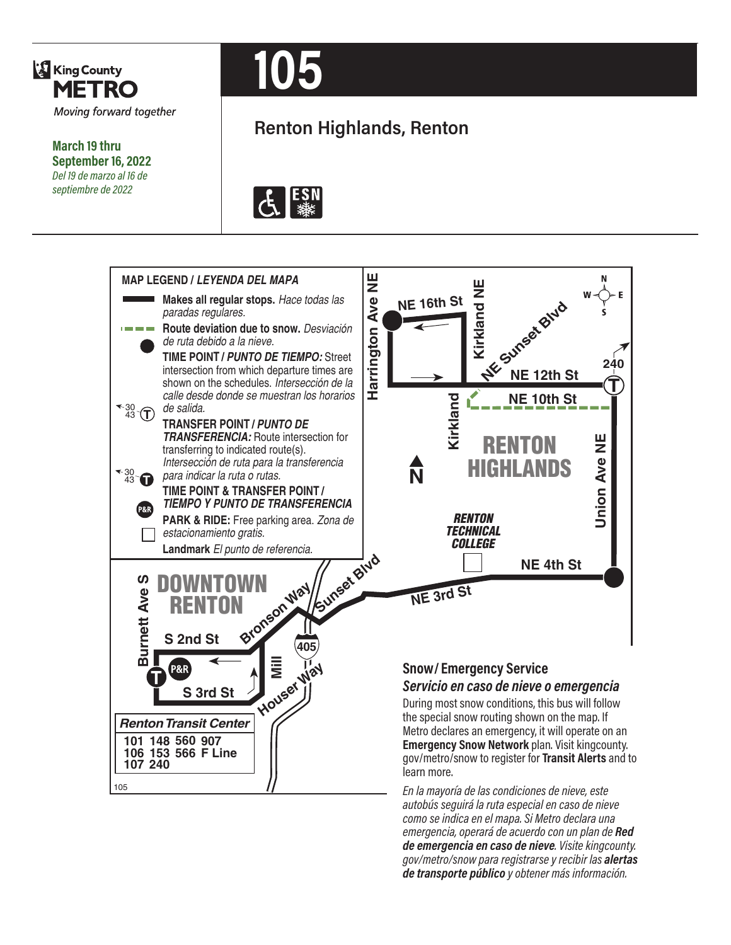

**March 19 thru September 16, 2022** *Del 19 de marzo al 16 de septiembre de 2022*

# **105**

# **Renton Highlands, Renton**





*En la mayoría de las condiciones de nieve, este autobús seguirá la ruta especial en caso de nieve como se indica en el mapa. Si Metro declara una emergencia, operará de acuerdo con un plan de Red de emergencia en caso de nieve. Visite kingcounty. gov/metro/snow para registrarse y recibir las alertas de transporte público y obtener más información.*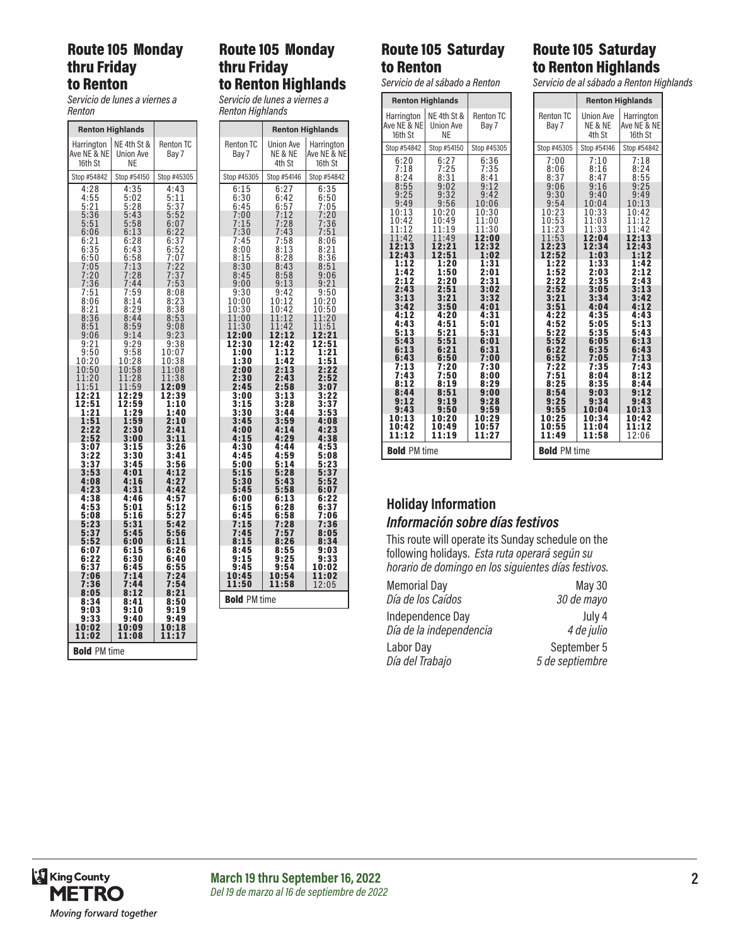### Route 105 Monday thru Friday to Renton

*Servicio de lunes a viernes a Renton*

|                                                             | <b>Renton Highlands</b>                                        |                                                                                           |
|-------------------------------------------------------------|----------------------------------------------------------------|-------------------------------------------------------------------------------------------|
| Harrington<br>Ave NE & NE<br>16th St                        | NE 4th St &<br>Union Ave<br>ΝE                                 | <b>Renton TC</b><br>Bay 7                                                                 |
| Stop #54842                                                 | Stop #54150                                                    | Stop #45305                                                                               |
| 4:28<br>4:55<br>5:21<br>5:36                                | 4:35<br>5:02<br>5:28<br>5:43                                   | 4:43<br>$\begin{array}{r} 7.75 \\ 5.11 \\ 5.37 \\ 5.52 \\ 6.07 \\ 6.32 \end{array}$       |
| $\overline{5}$<br>:51<br>6:06<br>$6:21$<br>$6:35$           | 5:58<br>6:13<br>6:28<br>6:<br>43                               | 6:22<br>$6:37$<br>$6:52$<br>$7:07$                                                        |
| 6:50<br>7:05<br>7:20<br>7:36                                | 6:58<br>$7:13$<br>$7:28$<br>7:44                               | $\frac{7}{7}$ :<br>$\overline{\mathbf{c}}$<br>2<br>$\overline{3}\overline{7}$<br>7:5<br>3 |
| :51<br>7<br>8<br>:06<br>8:21<br>8:36                        | 7:59<br>8:<br>14<br>29<br>8:<br>8:44                           | 8:08<br>$\frac{8:2}{8:3}$<br>3<br>38<br>8:<br>53                                          |
| 8:51<br>9:06                                                | 8:59<br>9:<br>14<br>9:2<br>9                                   | 9:08<br>9:23<br>9:38                                                                      |
| $\frac{9:21}{9:50}$<br>10:20<br>10:50<br>11:20              | $\frac{9:58}{0:28}$<br>10:<br>10:58<br>$1:28$<br>$1:59$<br>11: | 10:07<br>10:<br>38<br>11:08<br>1:38<br>1                                                  |
| 11:51<br>2:21<br>ı<br>$\overline{1}\overline{2:}51$<br>1:21 | 1<br>12:29<br>12:59<br>1:29                                    | 12:09<br>12:39<br>1:10<br>1:40                                                            |
| 1:51<br>2:22<br>2:52<br>$\overline{3:07}$                   | 1:59<br>2:30<br>3:00<br>3:15                                   | 2:10<br>2:41<br>3:11<br>3:26                                                              |
| $3:22$<br>$3:37$<br>$3:53$<br>4:08                          | 3:30<br>$\bar{3}$ :45<br>4:01<br>4:16                          | 3:41<br>3:56<br>4:12<br>4:2<br>7                                                          |
| 4:23<br>4:38<br>4:53<br>5:08                                | 4:31<br>4:46<br>5:01                                           | 4:42<br>4:57<br>5:12<br>5:27                                                              |
| 5:23<br>5:37<br>5:52                                        | 5:16<br>5:31<br>5:45<br>6:00                                   | 5:42<br>5:56<br>6:11                                                                      |
| 6:07<br>6:22<br>6:37<br>7:06                                | 6:15<br>6:30<br>6:45<br>7:14                                   | 6:26<br>6:40<br>6:55<br>7:24                                                              |
| 7:36<br>8:05<br>8:34<br>9:03                                | 7:44<br>8:12<br>8:41<br>9:10                                   | 7:54<br>8:21<br>8:50<br>9:19                                                              |
| 9:33<br>10:02<br>11:02                                      | 9:40<br>10:09<br>11:08                                         | 9:49<br>10:18<br>11:17                                                                    |
| PM time<br>Bold                                             |                                                                |                                                                                           |

## Route 105 Monday thru Friday to Renton Highlands

*Servicio de lunes a viernes a Renton Highlands*

|                                                                                                                                                                                                                                                                                                                                                       | <b>Renton Highlands</b>                                                                                                                                                                                                                                                                                                                                                                 |                                                                                                                                                                                                                                                                                                                                                                                           |
|-------------------------------------------------------------------------------------------------------------------------------------------------------------------------------------------------------------------------------------------------------------------------------------------------------------------------------------------------------|-----------------------------------------------------------------------------------------------------------------------------------------------------------------------------------------------------------------------------------------------------------------------------------------------------------------------------------------------------------------------------------------|-------------------------------------------------------------------------------------------------------------------------------------------------------------------------------------------------------------------------------------------------------------------------------------------------------------------------------------------------------------------------------------------|
| <b>Renton TC</b><br>Bay 7                                                                                                                                                                                                                                                                                                                             | <b>Union Ave</b><br>NE & NE<br>4th St                                                                                                                                                                                                                                                                                                                                                   | Harrington<br>Ave NE & NE<br>16th St                                                                                                                                                                                                                                                                                                                                                      |
| Stop #45305                                                                                                                                                                                                                                                                                                                                           | Stop #54146                                                                                                                                                                                                                                                                                                                                                                             | Stop #54842                                                                                                                                                                                                                                                                                                                                                                               |
| 6:15<br>6:30<br>$6:45$<br>$7:00$<br>7:15<br>7:30<br>7:45<br>$\frac{8:00}{8:15}$<br>8:30<br>8:45<br>9:00<br>9:30<br>10:00<br>10:30<br>11:00<br>11:30<br>12:00<br>12:30<br>1:00<br>1:30<br>2:00<br>2:30<br>2:45<br>3:00<br>3:15<br>3:30<br>3:45<br>4:00<br>4:15<br>4:30<br>4:45<br>5:00<br>5:15<br>5:30<br>5:45<br>6:00<br>6:15<br>6:45<br>7:15<br>7:45 | 6:27<br>6:42<br>$\frac{6:57}{7:12}$<br>7:28<br>7:43<br>7:58<br>$\begin{array}{c} 8:13 \\ 8:28 \\ 8:43 \end{array}$<br>$\frac{8:58}{9:13}$<br>9:42<br>10:12<br>10:42<br>11:12<br>11:42<br>12:12<br>12:42<br>1:12<br>1:42<br>2:13<br>2:43<br>2:58<br>3:13<br>3:28<br>3:44<br>3:59<br>4:14<br>4:29<br>4:44<br>4:59<br>5:14<br>5:28<br>5:43<br>5:58<br>6:13<br>6:28<br>6:58<br>7:28<br>7:57 | $\overline{6}$ :35<br>$\frac{6:50}{7:05}$<br>$\frac{7:20}{7:20}$<br>7:36<br>7:51<br>8:06<br>8:21<br>8:36<br>8:51<br>$9:06$<br>$9:21$<br>$\frac{9:50}{10:20}$<br>10:50<br>11:20<br>11:51<br>12:21<br>12:51<br>1:21<br>1:51<br>2:22<br>2:52<br>3:07<br>3:22<br>3:37<br>3:53<br>4:08<br>4:23<br>4:38<br>4:53<br>5:08<br>5:23<br>5:37<br>5:52<br>6:07<br>6:22<br>6:37<br>7:06<br>7:36<br>8:05 |
| 8:15<br>8:45                                                                                                                                                                                                                                                                                                                                          | 8:26<br>8:55                                                                                                                                                                                                                                                                                                                                                                            | 8:34<br>9:03                                                                                                                                                                                                                                                                                                                                                                              |
| 9:15<br>9:45                                                                                                                                                                                                                                                                                                                                          | 9:25<br>9:54                                                                                                                                                                                                                                                                                                                                                                            | 9:33<br>10:02                                                                                                                                                                                                                                                                                                                                                                             |
| 10:45<br>11:50                                                                                                                                                                                                                                                                                                                                        | 10:54<br>11:58                                                                                                                                                                                                                                                                                                                                                                          | 11:02<br>12:05                                                                                                                                                                                                                                                                                                                                                                            |
| PM time<br>Bold                                                                                                                                                                                                                                                                                                                                       |                                                                                                                                                                                                                                                                                                                                                                                         |                                                                                                                                                                                                                                                                                                                                                                                           |

# Route 105 Saturday to Renton

*Servicio de al sábado a Renton*

|                                      | <b>Renton Highlands</b>               |                           |
|--------------------------------------|---------------------------------------|---------------------------|
| Harrington<br>Ave NE & NE<br>16th St | NE 4th St &<br><b>Union Ave</b><br>NF | <b>Renton TC</b><br>Bay 7 |
| Stop #54842                          | Stop #54150                           | Stop #45305               |
| 6:20                                 | 6:27                                  | 6:36                      |
| 7:18                                 | 7:25                                  | 7:35                      |
| 8:24                                 | 8:31                                  | 8:41                      |
| 8:55                                 | 9:02                                  | 9:12                      |
| 9:25                                 | 9:32                                  | 9:42                      |
| 9:49                                 | 9:56                                  | 10:06                     |
| 10:13                                | 10:20                                 | 10:30                     |
| 10:42                                | 10:49                                 | 11:00                     |
| 11:12                                | 11:19                                 | 11:30                     |
| 11:42                                | 11:49                                 | 12:00                     |
| 12:13                                | 12:21                                 | 12:32                     |
| 12:43                                | 12:51                                 | 1:02                      |
| 1:12                                 | 1:20                                  | 1:31                      |
| 1:42                                 | 1:50                                  | 2:01                      |
| 2:12                                 | 2:20                                  | 2:31                      |
| 2:43                                 | 2:51                                  | 3:02                      |
| 3:13                                 | 3:21                                  | 3:32                      |
| 3:42                                 | 3:50                                  | 4:01                      |
| 4:12                                 | 4:20                                  | 4:31                      |
| 4:43                                 | 4:51                                  | 5:01                      |
| 5:13                                 | 5:21                                  | 5:31                      |
| 5:43                                 | 5:51                                  | 6:01                      |
| 6:13                                 | 6:21                                  | 6:31                      |
| 6:43                                 | 6:50                                  | 7:00                      |
| 7:13                                 | 7:20                                  | 7:30                      |
| 7:43                                 | 7:50                                  | 8:00                      |
| 8:12                                 | 8:19                                  | 8:29                      |
| 8:44                                 | 8:51                                  | 9:00                      |
| 9:12<br>9:43<br>10:13                | 9:19<br>9:50                          | 9:28<br>9:59              |
| 10:42<br>11:12                       | 10:20<br>10:49<br>11:19               | 10:29<br>10:57<br>11:27   |
| <b>Bold PM</b> time                  |                                       |                           |

| Route 105 Saturday  |
|---------------------|
| to Renton Highlands |

*Servicio de al sábado a Renton Highlands*

|                                  |                                       | <b>Renton Highlands</b>                 |
|----------------------------------|---------------------------------------|-----------------------------------------|
| <b>Renton TC</b><br>Bay 7        | <b>Union Ave</b><br>NE & NE<br>4th St | Harrington<br>Ave NE & NE<br>16th St    |
| Stop #45305                      | Stop #54146                           | Stop #54842                             |
| 7:00                             | 7:10                                  | 7:18                                    |
| 8:06                             | 8:16                                  | 8:24                                    |
| 8:37                             | 8:47                                  | 8:55                                    |
| 9:06                             | 9:16                                  | 9:25                                    |
| 9:30                             | 9:40                                  | 9:49                                    |
| 9:54                             | 10:04                                 | 10:13                                   |
| 10:23<br>10:53<br>11:23<br>11:53 | 10:33<br>11:03<br>11:33<br>12:04      | 10:42<br>1<br>1:<br>12<br>1:42<br>12:13 |
| 2:23                             | 12:34                                 | 12:43                                   |
| 12:52                            | 1:03                                  | 1:12                                    |
| 1:22                             | 1:33                                  | 1:42                                    |
| 1:52                             | 2:03                                  | 2:12                                    |
| 2:22                             | 2:35                                  | 2:43                                    |
| 2:52                             | 3:05                                  | 3:13                                    |
| 3:21                             | 3:34                                  | 3:42                                    |
| 3:51                             | 4:04                                  | 4:12                                    |
| 4:22                             | 4:35                                  | 4:43                                    |
| 4:52                             | 5:05                                  | 5:13                                    |
| 5:22                             | 5:35                                  | 5:43                                    |
| 5:52                             | 6:05                                  | 6:13                                    |
| 6:22                             | 6:35                                  | 6:43                                    |
| 6:52                             | 7:05                                  | 7:13                                    |
| 7:22                             | 7:35                                  | 7:43                                    |
| 7:51                             | 8:04                                  | 8:12                                    |
| 8:25                             | 8:35                                  | 8:44                                    |
| 8:54                             | 9:03                                  | 9:12                                    |
| 9:25                             | 9:34                                  | 9:43                                    |
| 9:55                             | 10:04                                 | 10:13                                   |
| 10:25                            | 10:34                                 | 0:42                                    |
| 10:55                            | 11:04                                 | 11:12                                   |
| 11:49                            | 11:58                                 | 12:06                                   |
| <b>Bold PM time</b>              |                                       |                                         |

# **Holiday Information**

#### *Información sobre días festivos*

This route will operate its Sunday schedule on the following holidays. *Esta ruta operará según su horario de domingo en los siguientes días festivos.*

| <b>Memorial Day</b>                         | May 30               |
|---------------------------------------------|----------------------|
| Día de los Caídos                           | 30 de mayo           |
| Independence Day<br>Día de la independencia | July 4<br>4 de julio |
| Labor Day                                   | September 5          |
| Día del Trabajo                             | 5 de septiembre      |
|                                             |                      |